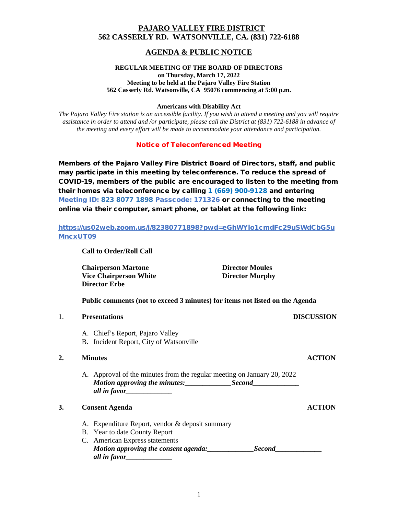## **PAJARO VALLEY FIRE DISTRICT 562 CASSERLY RD. WATSONVILLE, CA. (831) 722-6188**

# **AGENDA & PUBLIC NOTICE**

#### **REGULAR MEETING OF THE BOARD OF DIRECTORS on Thursday, March 17, 2022 Meeting to be held at the Pajaro Valley Fire Station 562 Casserly Rd. Watsonville, CA 95076 commencing at 5:00 p.m.**

#### **Americans with Disability Act**

*The Pajaro Valley Fire station is an accessible facility. If you wish to attend a meeting and you will require assistance in order to attend and /or participate, please call the District at (831) 722-6188 in advance of the meeting and every effort will be made to accommodate your attendance and participation.*

Notice of Teleconferenced Meeting

Members of the Pajaro Valley Fire District Board of Directors, staff, and public may participate in this meeting by teleconference. To reduce the spread of COVID-19, members of the public are encouraged to listen to the meeting from their homes via teleconference by calling 1 (669) 900-9128 and entering Meeting ID: 823 8077 1898 Passcode: 171326 or connecting to the meeting online via their computer, smart phone, or tablet at the following link:

## https://us02web.zoom.us/j/82380771898?pwd=eGhWYlo1cmdFc29uSWdCbG5u MncxUT09

**Call to Order/Roll Call**

**Chairperson Martone Director Moules Vice Chairperson White Director Murphy Director Erbe**

**Public comments (not to exceed 3 minutes) for items not listed on the Agenda**

|    | <b>DISCUSSION</b><br><b>Presentations</b>                                               |               |
|----|-----------------------------------------------------------------------------------------|---------------|
|    | A. Chief's Report, Pajaro Valley<br>B. Incident Report, City of Watsonville             |               |
| 2. | <b>Minutes</b>                                                                          | <b>ACTION</b> |
|    | A. Approval of the minutes from the regular meeting on January 20, 2022<br>all in favor |               |
| 3. | <b>Consent Agenda</b>                                                                   | ACTION        |
|    | A. Expenditure Report, vendor & deposit summary                                         |               |
|    | B. Year to date County Report                                                           |               |
|    | C. American Express statements                                                          |               |
|    | Motion approving the consent agenda:<br><b>Second</b>                                   |               |
|    | all in favor_                                                                           |               |